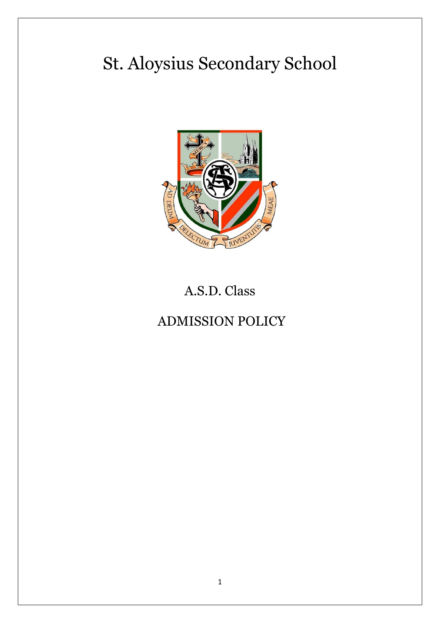# St. Aloysius Secondary School



# A.S.D. Class

# ADMISSION POLICY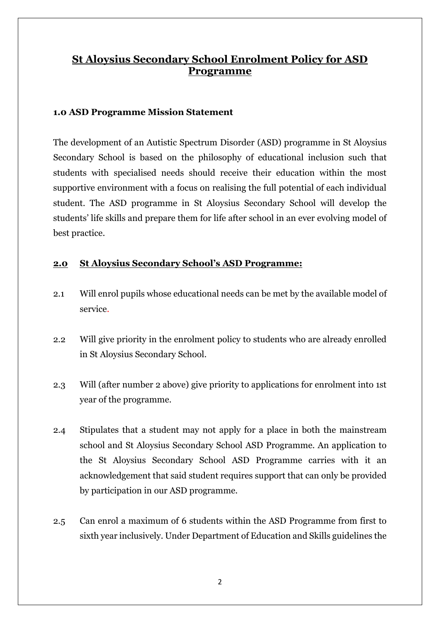# **St Aloysius Secondary School Enrolment Policy for ASD Programme**

#### **1.0 ASD Programme Mission Statement**

The development of an Autistic Spectrum Disorder (ASD) programme in St Aloysius Secondary School is based on the philosophy of educational inclusion such that students with specialised needs should receive their education within the most supportive environment with a focus on realising the full potential of each individual student. The ASD programme in St Aloysius Secondary School will develop the students' life skills and prepare them for life after school in an ever evolving model of best practice.

#### **2.0 St Aloysius Secondary School's ASD Programme:**

- 2.1 Will enrol pupils whose educational needs can be met by the available model of service.
- 2.2 Will give priority in the enrolment policy to students who are already enrolled in St Aloysius Secondary School.
- 2.3 Will (after number 2 above) give priority to applications for enrolment into 1st year of the programme.
- 2.4 Stipulates that a student may not apply for a place in both the mainstream school and St Aloysius Secondary School ASD Programme. An application to the St Aloysius Secondary School ASD Programme carries with it an acknowledgement that said student requires support that can only be provided by participation in our ASD programme.
- 2.5 Can enrol a maximum of 6 students within the ASD Programme from first to sixth year inclusively. Under Department of Education and Skills guidelines the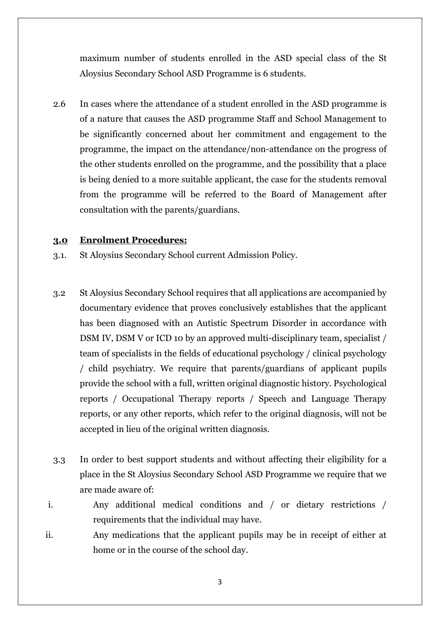maximum number of students enrolled in the ASD special class of the St Aloysius Secondary School ASD Programme is 6 students.

2.6 In cases where the attendance of a student enrolled in the ASD programme is of a nature that causes the ASD programme Staff and School Management to be significantly concerned about her commitment and engagement to the programme, the impact on the attendance/non-attendance on the progress of the other students enrolled on the programme, and the possibility that a place is being denied to a more suitable applicant, the case for the students removal from the programme will be referred to the Board of Management after consultation with the parents/guardians.

#### **3.0 Enrolment Procedures:**

- 3.1. St Aloysius Secondary School current Admission Policy.
- 3.2 St Aloysius Secondary School requires that all applications are accompanied by documentary evidence that proves conclusively establishes that the applicant has been diagnosed with an Autistic Spectrum Disorder in accordance with DSM IV, DSM V or ICD 10 by an approved multi-disciplinary team, specialist / team of specialists in the fields of educational psychology / clinical psychology / child psychiatry. We require that parents/guardians of applicant pupils provide the school with a full, written original diagnostic history. Psychological reports / Occupational Therapy reports / Speech and Language Therapy reports, or any other reports, which refer to the original diagnosis, will not be accepted in lieu of the original written diagnosis.
- 3.3 In order to best support students and without affecting their eligibility for a place in the St Aloysius Secondary School ASD Programme we require that we are made aware of:
- i. Any additional medical conditions and / or dietary restrictions / requirements that the individual may have.
- ii. Any medications that the applicant pupils may be in receipt of either at home or in the course of the school day.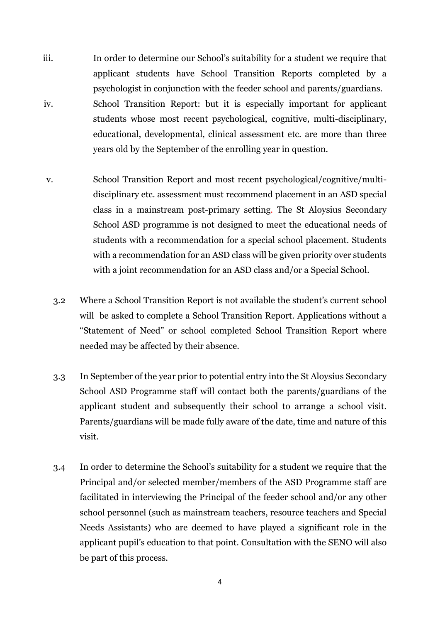- iii. In order to determine our School's suitability for a student we require that applicant students have School Transition Reports completed by a psychologist in conjunction with the feeder school and parents/guardians. iv. School Transition Report: but it is especially important for applicant students whose most recent psychological, cognitive, multi-disciplinary, educational, developmental, clinical assessment etc. are more than three years old by the September of the enrolling year in question.
- v. School Transition Report and most recent psychological/cognitive/multidisciplinary etc. assessment must recommend placement in an ASD special class in a mainstream post-primary setting. The St Aloysius Secondary School ASD programme is not designed to meet the educational needs of students with a recommendation for a special school placement. Students with a recommendation for an ASD class will be given priority over students with a joint recommendation for an ASD class and/or a Special School.
	- 3.2 Where a School Transition Report is not available the student's current school will be asked to complete a School Transition Report. Applications without a "Statement of Need" or school completed School Transition Report where needed may be affected by their absence.
	- 3.3 In September of the year prior to potential entry into the St Aloysius Secondary School ASD Programme staff will contact both the parents/guardians of the applicant student and subsequently their school to arrange a school visit. Parents/guardians will be made fully aware of the date, time and nature of this visit.
	- 3.4 In order to determine the School's suitability for a student we require that the Principal and/or selected member/members of the ASD Programme staff are facilitated in interviewing the Principal of the feeder school and/or any other school personnel (such as mainstream teachers, resource teachers and Special Needs Assistants) who are deemed to have played a significant role in the applicant pupil's education to that point. Consultation with the SENO will also be part of this process.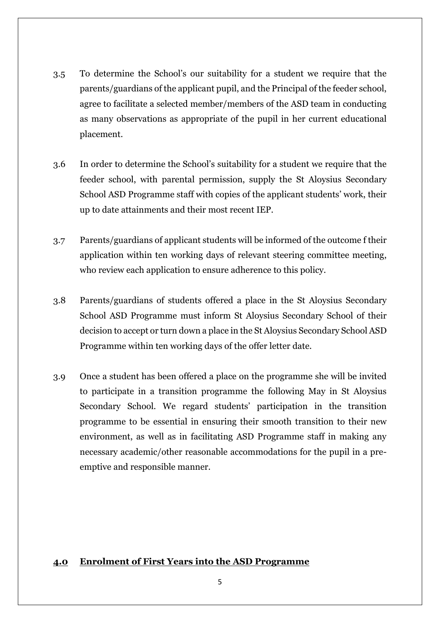- 3.5 To determine the School's our suitability for a student we require that the parents/guardians of the applicant pupil, and the Principal of the feeder school, agree to facilitate a selected member/members of the ASD team in conducting as many observations as appropriate of the pupil in her current educational placement.
- 3.6 In order to determine the School's suitability for a student we require that the feeder school, with parental permission, supply the St Aloysius Secondary School ASD Programme staff with copies of the applicant students' work, their up to date attainments and their most recent IEP.
- 3.7 Parents/guardians of applicant students will be informed of the outcome f their application within ten working days of relevant steering committee meeting, who review each application to ensure adherence to this policy.
- 3.8 Parents/guardians of students offered a place in the St Aloysius Secondary School ASD Programme must inform St Aloysius Secondary School of their decision to accept or turn down a place in the St Aloysius Secondary School ASD Programme within ten working days of the offer letter date.
- 3.9 Once a student has been offered a place on the programme she will be invited to participate in a transition programme the following May in St Aloysius Secondary School. We regard students' participation in the transition programme to be essential in ensuring their smooth transition to their new environment, as well as in facilitating ASD Programme staff in making any necessary academic/other reasonable accommodations for the pupil in a preemptive and responsible manner.

#### **4.0 Enrolment of First Years into the ASD Programme**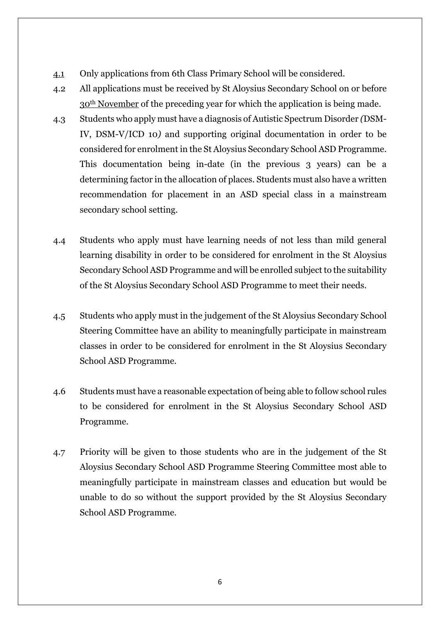- 4.1 Only applications from 6th Class Primary School will be considered.
- 4.2 All applications must be received by St Aloysius Secondary School on or before 30th November of the preceding year for which the application is being made.
- 4.3 Students who apply must have a diagnosis of Autistic Spectrum Disorder *(*DSM-IV, DSM-V/ICD 10*)* and supporting original documentation in order to be considered for enrolment in the St Aloysius Secondary School ASD Programme. This documentation being in-date (in the previous 3 years) can be a determining factor in the allocation of places. Students must also have a written recommendation for placement in an ASD special class in a mainstream secondary school setting.
- 4.4 Students who apply must have learning needs of not less than mild general learning disability in order to be considered for enrolment in the St Aloysius Secondary School ASD Programme and will be enrolled subject to the suitability of the St Aloysius Secondary School ASD Programme to meet their needs.
- 4.5 Students who apply must in the judgement of the St Aloysius Secondary School Steering Committee have an ability to meaningfully participate in mainstream classes in order to be considered for enrolment in the St Aloysius Secondary School ASD Programme.
- 4.6 Students must have a reasonable expectation of being able to follow school rules to be considered for enrolment in the St Aloysius Secondary School ASD Programme.
- 4.7 Priority will be given to those students who are in the judgement of the St Aloysius Secondary School ASD Programme Steering Committee most able to meaningfully participate in mainstream classes and education but would be unable to do so without the support provided by the St Aloysius Secondary School ASD Programme.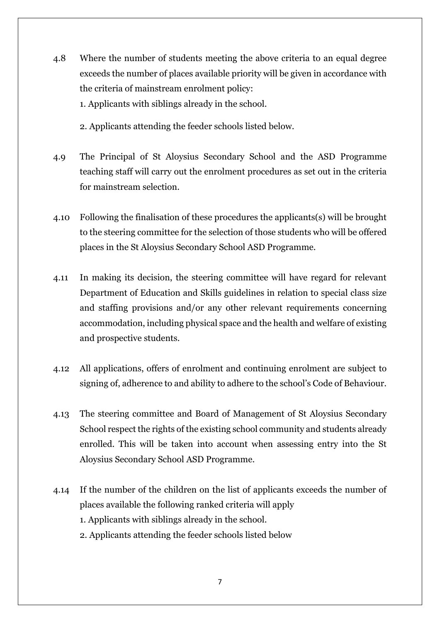- 4.8 Where the number of students meeting the above criteria to an equal degree exceeds the number of places available priority will be given in accordance with the criteria of mainstream enrolment policy: 1. Applicants with siblings already in the school.
	- 2. Applicants attending the feeder schools listed below.
- 4.9 The Principal of St Aloysius Secondary School and the ASD Programme teaching staff will carry out the enrolment procedures as set out in the criteria for mainstream selection.
- 4.10 Following the finalisation of these procedures the applicants(s) will be brought to the steering committee for the selection of those students who will be offered places in the St Aloysius Secondary School ASD Programme.
- 4.11 In making its decision, the steering committee will have regard for relevant Department of Education and Skills guidelines in relation to special class size and staffing provisions and/or any other relevant requirements concerning accommodation, including physical space and the health and welfare of existing and prospective students.
- 4.12 All applications, offers of enrolment and continuing enrolment are subject to signing of, adherence to and ability to adhere to the school's Code of Behaviour.
- 4.13 The steering committee and Board of Management of St Aloysius Secondary School respect the rights of the existing school community and students already enrolled. This will be taken into account when assessing entry into the St Aloysius Secondary School ASD Programme.
- 4.14 If the number of the children on the list of applicants exceeds the number of places available the following ranked criteria will apply 1. Applicants with siblings already in the school.
	- 2. Applicants attending the feeder schools listed below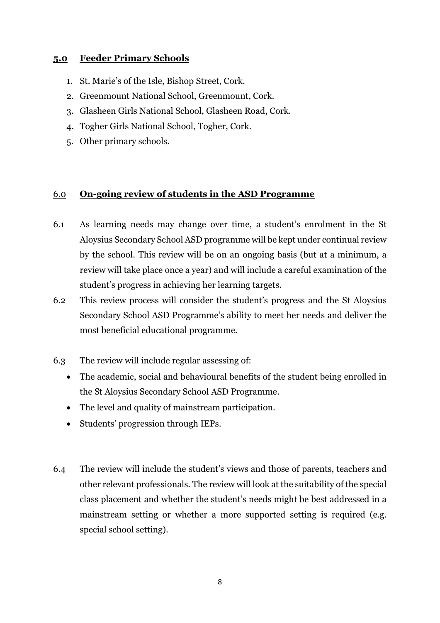#### **5.0 Feeder Primary Schools**

- 1. St. Marie's of the Isle, Bishop Street, Cork.
- 2. Greenmount National School, Greenmount, Cork.
- 3. Glasheen Girls National School, Glasheen Road, Cork.
- 4. Togher Girls National School, Togher, Cork.
- 5. Other primary schools.

#### 6.0 **On-going review of students in the ASD Programme**

- 6.1 As learning needs may change over time, a student's enrolment in the St Aloysius Secondary School ASD programme will be kept under continual review by the school. This review will be on an ongoing basis (but at a minimum, a review will take place once a year) and will include a careful examination of the student's progress in achieving her learning targets.
- 6.2 This review process will consider the student's progress and the St Aloysius Secondary School ASD Programme's ability to meet her needs and deliver the most beneficial educational programme.
- 6.3 The review will include regular assessing of:
	- The academic, social and behavioural benefits of the student being enrolled in the St Aloysius Secondary School ASD Programme.
	- The level and quality of mainstream participation.
	- Students' progression through IEPs.
- 6.4 The review will include the student's views and those of parents, teachers and other relevant professionals. The review will look at the suitability of the special class placement and whether the student's needs might be best addressed in a mainstream setting or whether a more supported setting is required (e.g. special school setting).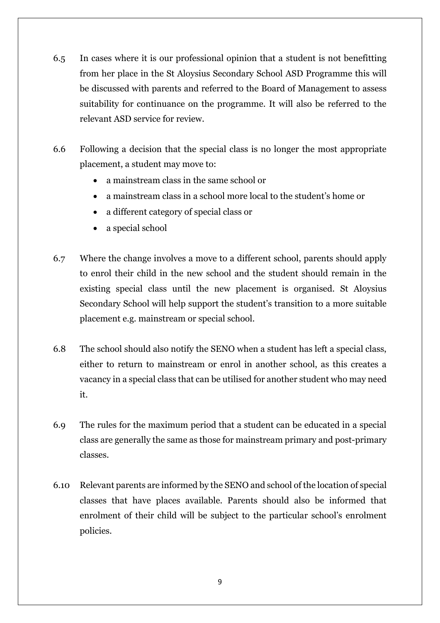- 6.5 In cases where it is our professional opinion that a student is not benefitting from her place in the St Aloysius Secondary School ASD Programme this will be discussed with parents and referred to the Board of Management to assess suitability for continuance on the programme. It will also be referred to the relevant ASD service for review.
- 6.6 Following a decision that the special class is no longer the most appropriate placement, a student may move to:
	- a mainstream class in the same school or
	- a mainstream class in a school more local to the student's home or
	- a different category of special class or
	- a special school
- 6.7 Where the change involves a move to a different school, parents should apply to enrol their child in the new school and the student should remain in the existing special class until the new placement is organised. St Aloysius Secondary School will help support the student's transition to a more suitable placement e.g. mainstream or special school.
- 6.8 The school should also notify the SENO when a student has left a special class, either to return to mainstream or enrol in another school, as this creates a vacancy in a special class that can be utilised for another student who may need it.
- 6.9 The rules for the maximum period that a student can be educated in a special class are generally the same as those for mainstream primary and post-primary classes.
- 6.10 Relevant parents are informed by the SENO and school of the location of special classes that have places available. Parents should also be informed that enrolment of their child will be subject to the particular school's enrolment policies.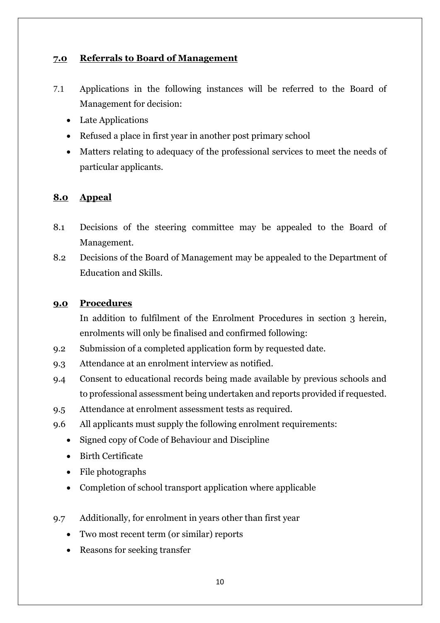## **7.0 Referrals to Board of Management**

- 7.1 Applications in the following instances will be referred to the Board of Management for decision:
	- Late Applications
	- Refused a place in first year in another post primary school
	- Matters relating to adequacy of the professional services to meet the needs of particular applicants.

### **8.0 Appeal**

- 8.1 Decisions of the steering committee may be appealed to the Board of Management.
- 8.2 Decisions of the Board of Management may be appealed to the Department of Education and Skills.

#### **9.0 Procedures**

In addition to fulfilment of the Enrolment Procedures in section 3 herein, enrolments will only be finalised and confirmed following:

- 9.2 Submission of a completed application form by requested date.
- 9.3 Attendance at an enrolment interview as notified.
- 9.4 Consent to educational records being made available by previous schools and to professional assessment being undertaken and reports provided if requested.
- 9.5 Attendance at enrolment assessment tests as required.
- 9.6 All applicants must supply the following enrolment requirements:
	- Signed copy of Code of Behaviour and Discipline
	- Birth Certificate
	- File photographs
	- Completion of school transport application where applicable
- 9.7 Additionally, for enrolment in years other than first year
	- Two most recent term (or similar) reports
	- Reasons for seeking transfer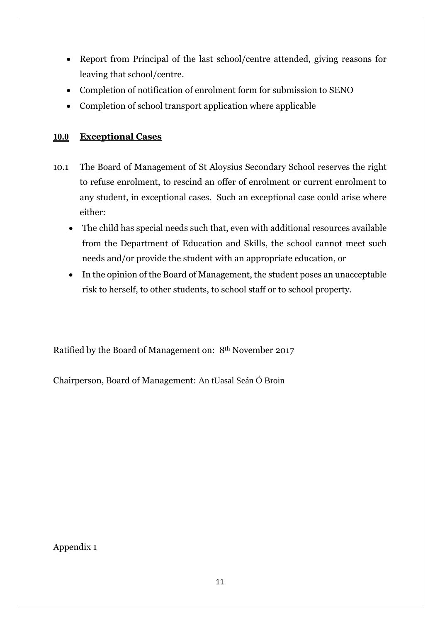- Report from Principal of the last school/centre attended, giving reasons for leaving that school/centre.
- Completion of notification of enrolment form for submission to SENO
- Completion of school transport application where applicable

## **10.0 Exceptional Cases**

- 10.1 The Board of Management of St Aloysius Secondary School reserves the right to refuse enrolment, to rescind an offer of enrolment or current enrolment to any student, in exceptional cases. Such an exceptional case could arise where either:
	- The child has special needs such that, even with additional resources available from the Department of Education and Skills, the school cannot meet such needs and/or provide the student with an appropriate education, or
	- In the opinion of the Board of Management, the student poses an unacceptable risk to herself, to other students, to school staff or to school property.

Ratified by the Board of Management on: 8th November 2017

Chairperson, Board of Management: An tUasal Seán Ó Broin

Appendix 1